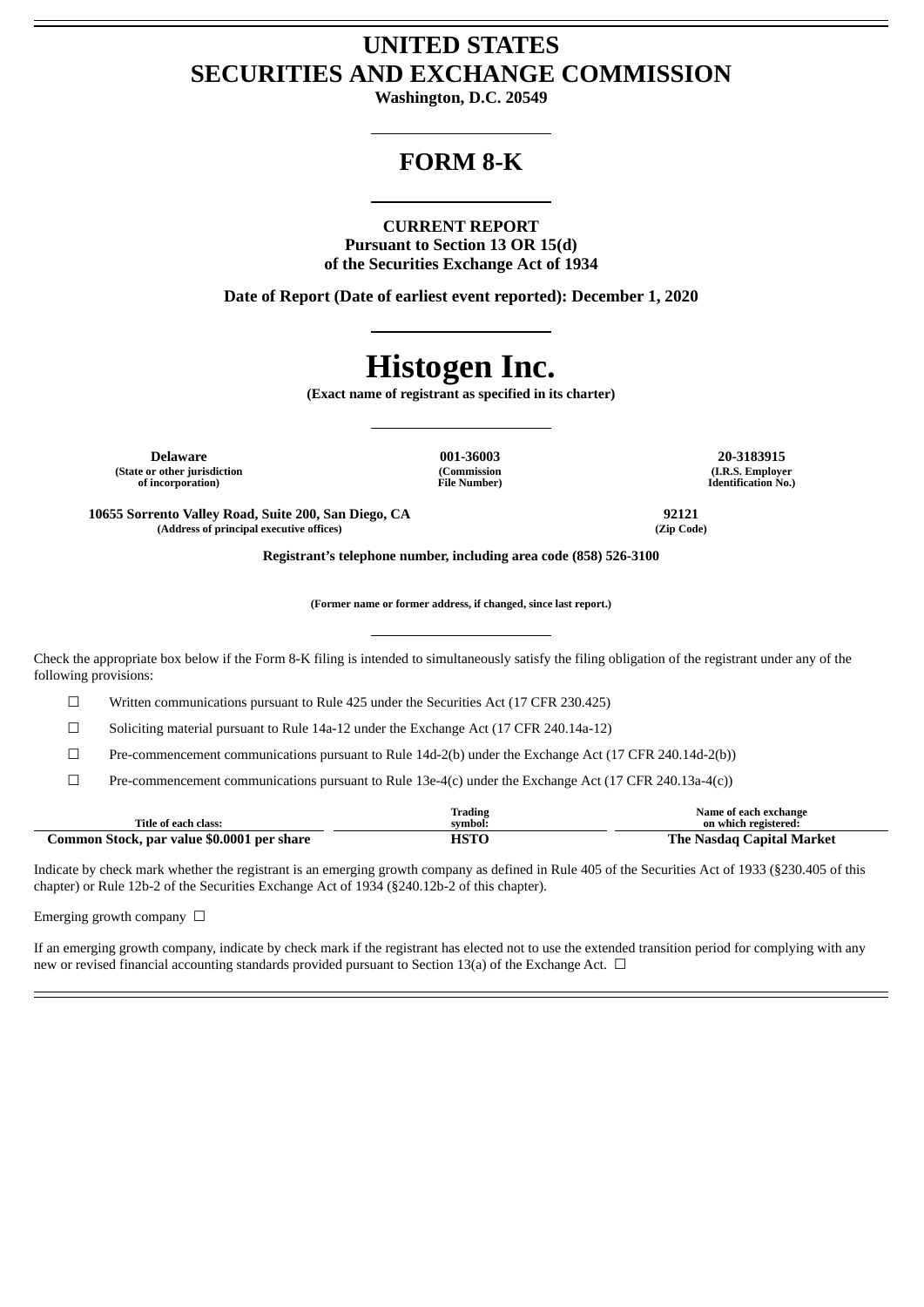# **UNITED STATES SECURITIES AND EXCHANGE COMMISSION**

**Washington, D.C. 20549**

# **FORM 8-K**

### **CURRENT REPORT**

**Pursuant to Section 13 OR 15(d) of the Securities Exchange Act of 1934**

**Date of Report (Date of earliest event reported): December 1, 2020**

# **Histogen Inc.**

**(Exact name of registrant as specified in its charter)**

**Delaware 001-36003 20-3183915 (State or other jurisdiction of incorporation)**

**(Commission File Number)**

**(I.R.S. Employer Identification No.)**

**10655 Sorrento Valley Road, Suite 200, San Diego, CA 92121 (Address of principal executive offices) (Zip Code)**

**Registrant's telephone number, including area code (858) 526-3100**

**(Former name or former address, if changed, since last report.)**

Check the appropriate box below if the Form 8-K filing is intended to simultaneously satisfy the filing obligation of the registrant under any of the following provisions:

☐ Written communications pursuant to Rule 425 under the Securities Act (17 CFR 230.425)

☐ Soliciting material pursuant to Rule 14a-12 under the Exchange Act (17 CFR 240.14a-12)

 $\Box$  Pre-commencement communications pursuant to Rule 14d-2(b) under the Exchange Act (17 CFR 240.14d-2(b))

☐ Pre-commencement communications pursuant to Rule 13e-4(c) under the Exchange Act (17 CFR 240.13a-4(c))

| Title of each class:                       | Trading<br>symbol: | Name of each exchange<br>on which registered: |
|--------------------------------------------|--------------------|-----------------------------------------------|
| Common Stock, par value \$0.0001 per share | нэтс               | .`anital Market<br>1'he<br>. Nasdag <b>'</b>  |

Indicate by check mark whether the registrant is an emerging growth company as defined in Rule 405 of the Securities Act of 1933 (§230.405 of this chapter) or Rule 12b-2 of the Securities Exchange Act of 1934 (§240.12b-2 of this chapter).

Emerging growth company  $\Box$ 

If an emerging growth company, indicate by check mark if the registrant has elected not to use the extended transition period for complying with any new or revised financial accounting standards provided pursuant to Section 13(a) of the Exchange Act.  $\Box$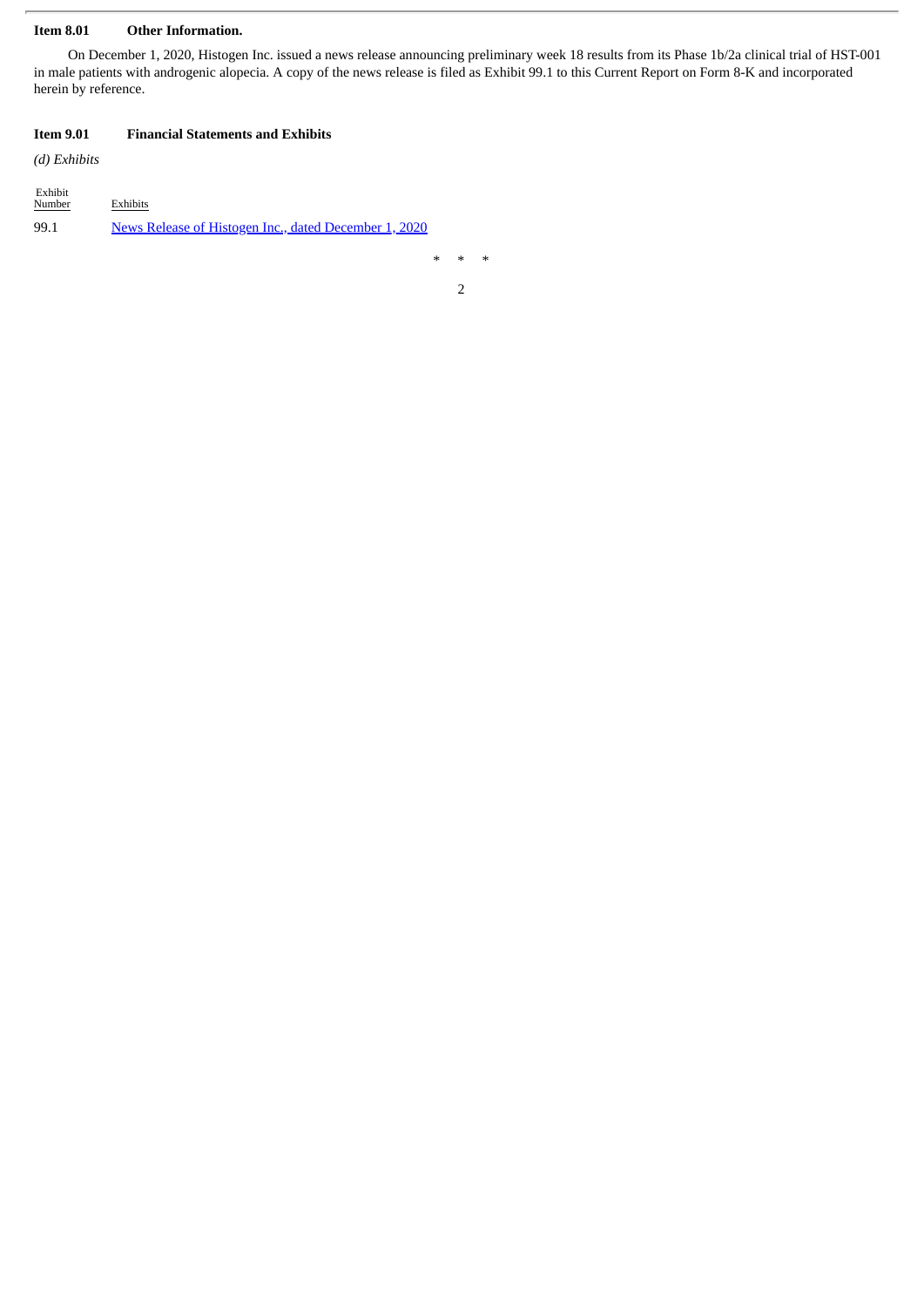#### **Item 8.01 Other Information.**

On December 1, 2020, Histogen Inc. issued a news release announcing preliminary week 18 results from its Phase 1b/2a clinical trial of HST-001 in male patients with androgenic alopecia. A copy of the news release is filed as Exhibit 99.1 to this Current Report on Form 8-K and incorporated herein by reference.

## **Item 9.01 Financial Statements and Exhibits**

*(d) Exhibits*

| Exhibit<br>Number | <b>Exhibits</b>                                       |
|-------------------|-------------------------------------------------------|
| 99.1              | News Release of Histogen Inc., dated December 1, 2020 |

\* \* \*

2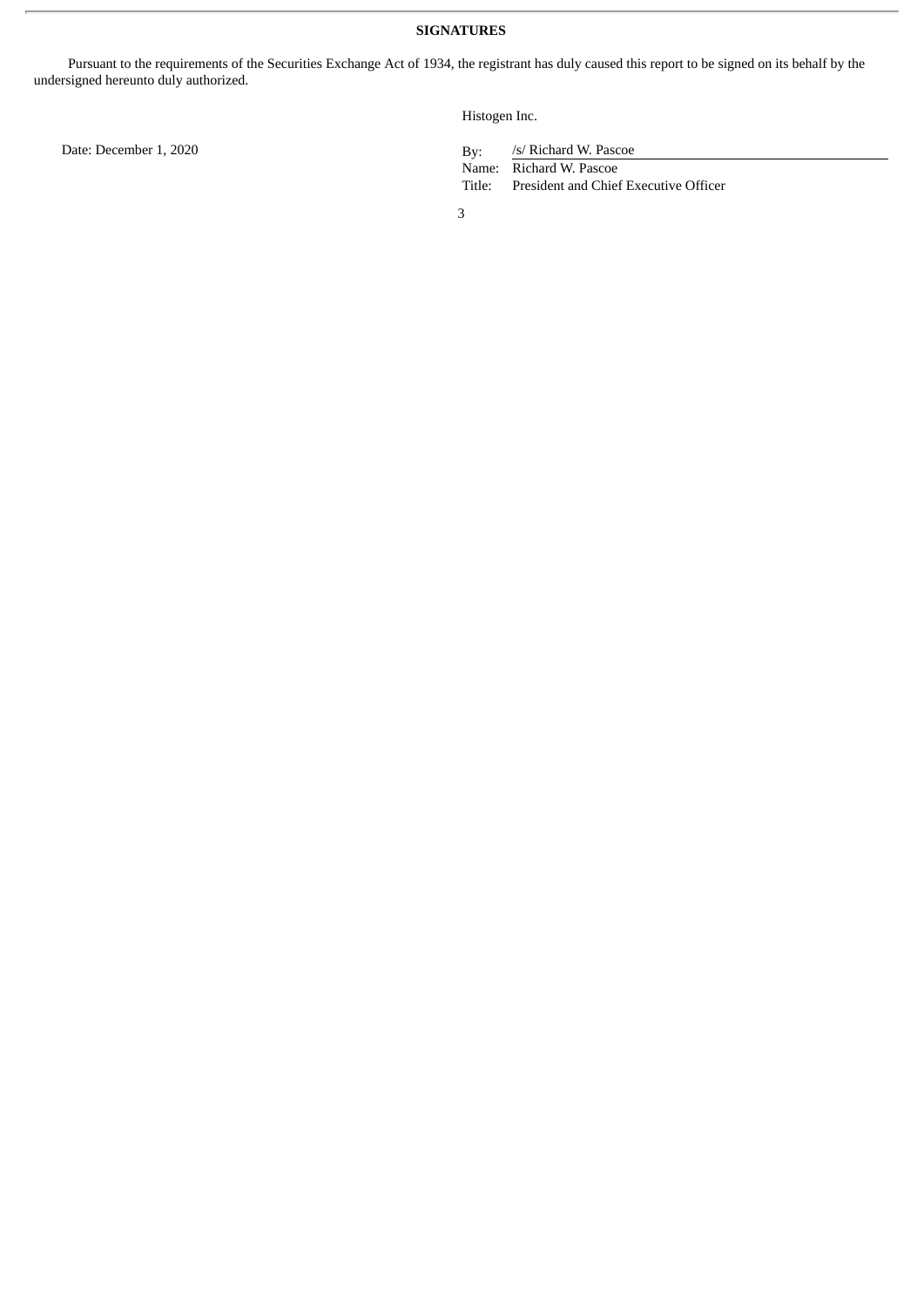Pursuant to the requirements of the Securities Exchange Act of 1934, the registrant has duly caused this report to be signed on its behalf by the undersigned hereunto duly authorized.

Histogen Inc.

/s/ Richard W. Pascoe

Name: Richard W. Pascoe<br>Title: President and Chief President and Chief Executive Officer

3

Date: December 1, 2020 By: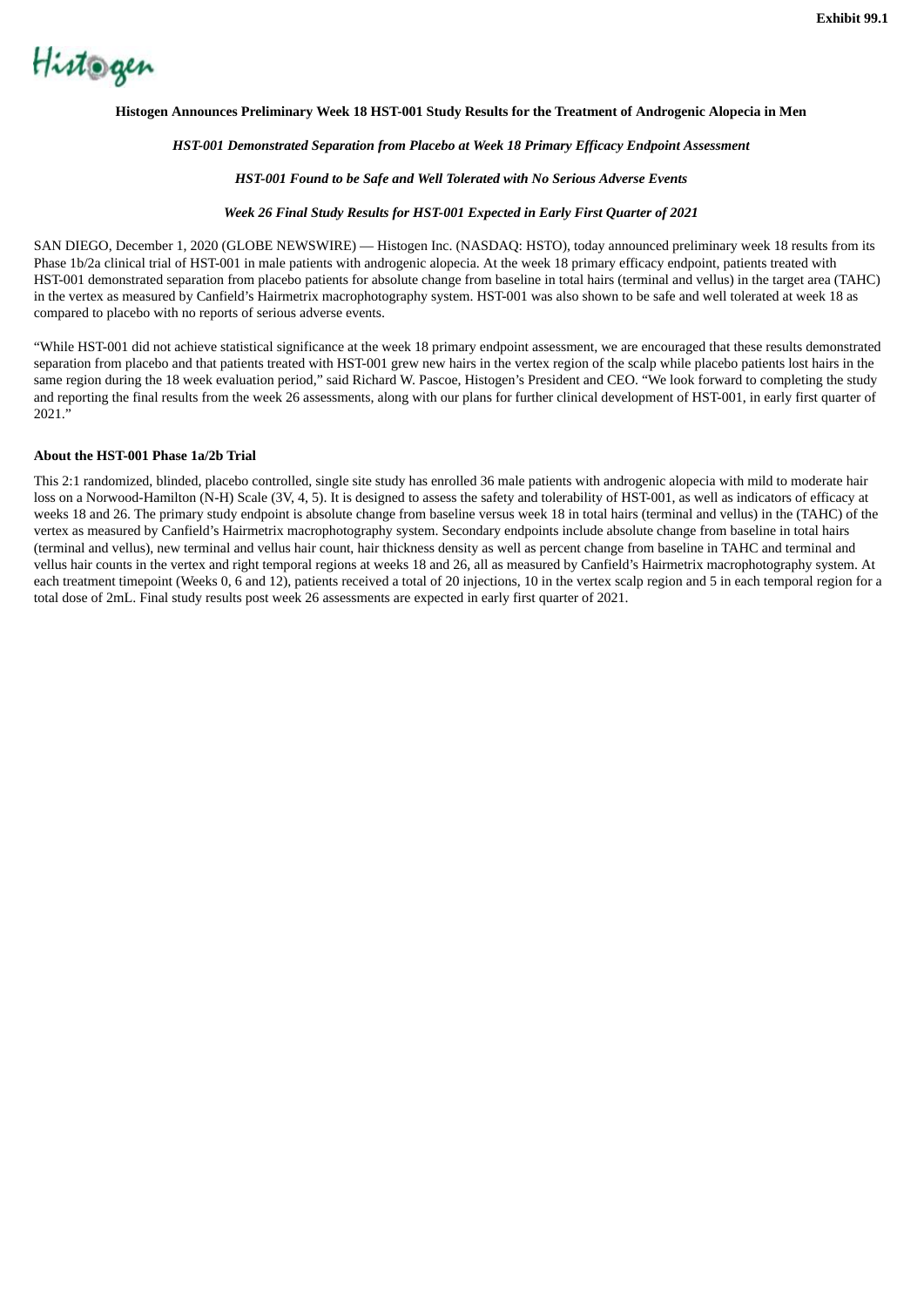<span id="page-3-0"></span>

#### **Histogen Announces Preliminary Week 18 HST-001 Study Results for the Treatment of Androgenic Alopecia in Men**

#### *HST-001 Demonstrated Separation from Placebo at Week 18 Primary Efficacy Endpoint Assessment*

#### *HST-001 Found to be Safe and Well Tolerated with No Serious Adverse Events*

#### *Week 26 Final Study Results for HST-001 Expected in Early First Quarter of 2021*

SAN DIEGO, December 1, 2020 (GLOBE NEWSWIRE) — Histogen Inc. (NASDAQ: HSTO), today announced preliminary week 18 results from its Phase 1b/2a clinical trial of HST-001 in male patients with androgenic alopecia. At the week 18 primary efficacy endpoint, patients treated with HST-001 demonstrated separation from placebo patients for absolute change from baseline in total hairs (terminal and vellus) in the target area (TAHC) in the vertex as measured by Canfield's Hairmetrix macrophotography system. HST-001 was also shown to be safe and well tolerated at week 18 as compared to placebo with no reports of serious adverse events.

"While HST-001 did not achieve statistical significance at the week 18 primary endpoint assessment, we are encouraged that these results demonstrated separation from placebo and that patients treated with HST-001 grew new hairs in the vertex region of the scalp while placebo patients lost hairs in the same region during the 18 week evaluation period," said Richard W. Pascoe, Histogen's President and CEO. "We look forward to completing the study and reporting the final results from the week 26 assessments, along with our plans for further clinical development of HST-001, in early first quarter of 2021."

#### **About the HST-001 Phase 1a/2b Trial**

This 2:1 randomized, blinded, placebo controlled, single site study has enrolled 36 male patients with androgenic alopecia with mild to moderate hair loss on a Norwood-Hamilton (N-H) Scale (3V, 4, 5). It is designed to assess the safety and tolerability of HST-001, as well as indicators of efficacy at weeks 18 and 26. The primary study endpoint is absolute change from baseline versus week 18 in total hairs (terminal and vellus) in the (TAHC) of the vertex as measured by Canfield's Hairmetrix macrophotography system. Secondary endpoints include absolute change from baseline in total hairs (terminal and vellus), new terminal and vellus hair count, hair thickness density as well as percent change from baseline in TAHC and terminal and vellus hair counts in the vertex and right temporal regions at weeks 18 and 26, all as measured by Canfield's Hairmetrix macrophotography system. At each treatment timepoint (Weeks 0, 6 and 12), patients received a total of 20 injections, 10 in the vertex scalp region and 5 in each temporal region for a total dose of 2mL. Final study results post week 26 assessments are expected in early first quarter of 2021.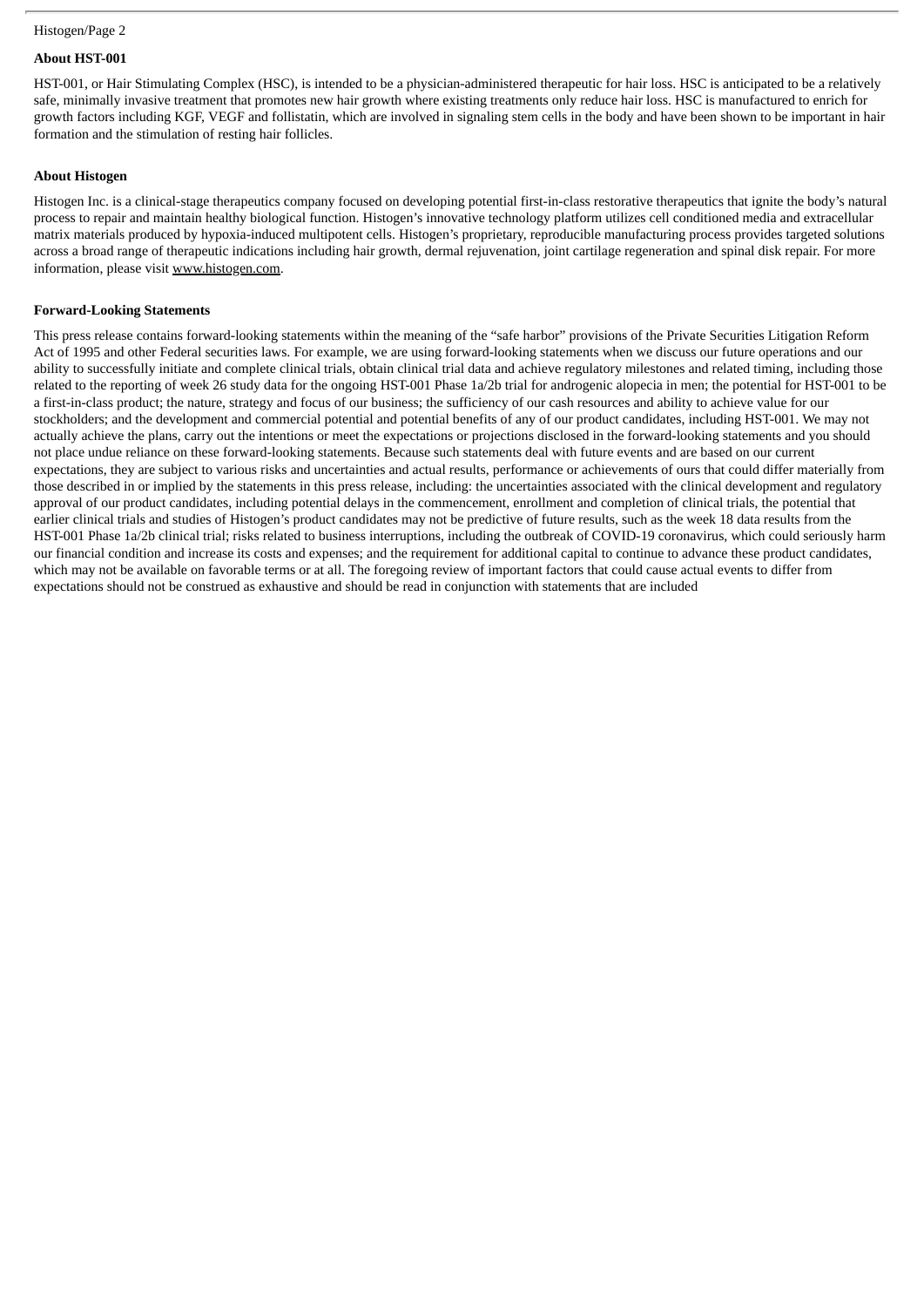#### Histogen/Page 2

# **About HST-001**

HST-001, or Hair Stimulating Complex (HSC), is intended to be a physician-administered therapeutic for hair loss. HSC is anticipated to be a relatively safe, minimally invasive treatment that promotes new hair growth where existing treatments only reduce hair loss. HSC is manufactured to enrich for growth factors including KGF, VEGF and follistatin, which are involved in signaling stem cells in the body and have been shown to be important in hair formation and the stimulation of resting hair follicles.

#### **About Histogen**

Histogen Inc. is a clinical-stage therapeutics company focused on developing potential first-in-class restorative therapeutics that ignite the body's natural process to repair and maintain healthy biological function. Histogen's innovative technology platform utilizes cell conditioned media and extracellular matrix materials produced by hypoxia-induced multipotent cells. Histogen's proprietary, reproducible manufacturing process provides targeted solutions across a broad range of therapeutic indications including hair growth, dermal rejuvenation, joint cartilage regeneration and spinal disk repair. For more information, please visit www.histogen.com.

#### **Forward-Looking Statements**

This press release contains forward-looking statements within the meaning of the "safe harbor" provisions of the Private Securities Litigation Reform Act of 1995 and other Federal securities laws. For example, we are using forward-looking statements when we discuss our future operations and our ability to successfully initiate and complete clinical trials, obtain clinical trial data and achieve regulatory milestones and related timing, including those related to the reporting of week 26 study data for the ongoing HST-001 Phase 1a/2b trial for androgenic alopecia in men; the potential for HST-001 to be a first-in-class product; the nature, strategy and focus of our business; the sufficiency of our cash resources and ability to achieve value for our stockholders; and the development and commercial potential and potential benefits of any of our product candidates, including HST-001. We may not actually achieve the plans, carry out the intentions or meet the expectations or projections disclosed in the forward-looking statements and you should not place undue reliance on these forward-looking statements. Because such statements deal with future events and are based on our current expectations, they are subject to various risks and uncertainties and actual results, performance or achievements of ours that could differ materially from those described in or implied by the statements in this press release, including: the uncertainties associated with the clinical development and regulatory approval of our product candidates, including potential delays in the commencement, enrollment and completion of clinical trials, the potential that earlier clinical trials and studies of Histogen's product candidates may not be predictive of future results, such as the week 18 data results from the HST-001 Phase 1a/2b clinical trial; risks related to business interruptions, including the outbreak of COVID-19 coronavirus, which could seriously harm our financial condition and increase its costs and expenses; and the requirement for additional capital to continue to advance these product candidates, which may not be available on favorable terms or at all. The foregoing review of important factors that could cause actual events to differ from expectations should not be construed as exhaustive and should be read in conjunction with statements that are included